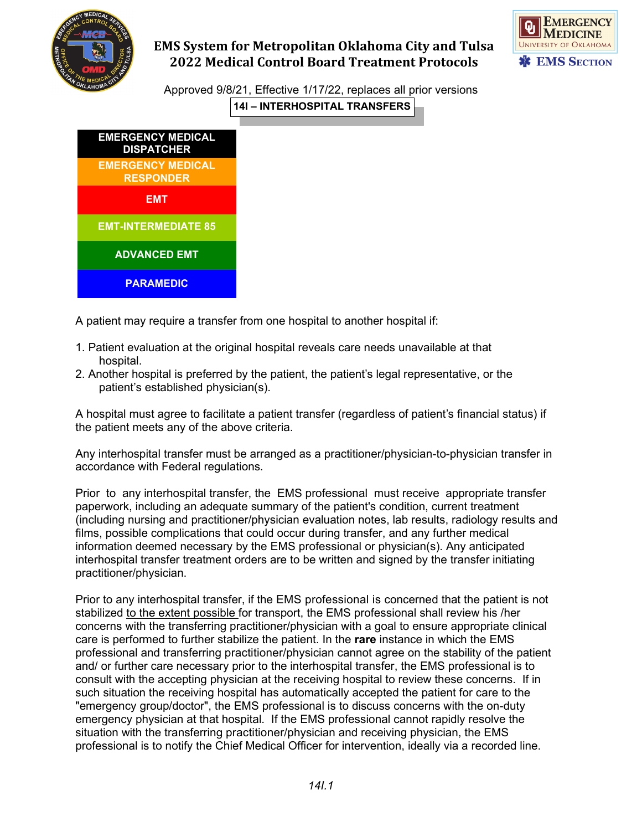



Approved 9/8/21, Effective 1/17/22, replaces all prior versions **14I – INTERHOSPITAL TRANSFERS**



A patient may require a transfer from one hospital to another hospital if:

- 1. Patient evaluation at the original hospital reveals care needs unavailable at that hospital.
- 2. Another hospital is preferred by the patient, the patient's legal representative, or the patient's established physician(s).

A hospital must agree to facilitate a patient transfer (regardless of patient's financial status) if the patient meets any of the above criteria.

Any interhospital transfer must be arranged as a practitioner/physician-to-physician transfer in accordance with Federal regulations.

Prior to any interhospital transfer, the EMS professional must receive appropriate transfer paperwork, including an adequate summary of the patient's condition, current treatment (including nursing and practitioner/physician evaluation notes, lab results, radiology results and films, possible complications that could occur during transfer, and any further medical information deemed necessary by the EMS professional or physician(s). Any anticipated interhospital transfer treatment orders are to be written and signed by the transfer initiating practitioner/physician.

Prior to any interhospital transfer, if the EMS professional is concerned that the patient is not stabilized to the extent possible for transport, the EMS professional shall review his /her concerns with the transferring practitioner/physician with a goal to ensure appropriate clinical care is performed to further stabilize the patient. In the **rare** instance in which the EMS professional and transferring practitioner/physician cannot agree on the stability of the patient and/ or further care necessary prior to the interhospital transfer, the EMS professional is to consult with the accepting physician at the receiving hospital to review these concerns. If in such situation the receiving hospital has automatically accepted the patient for care to the "emergency group/doctor", the EMS professional is to discuss concerns with the on-duty emergency physician at that hospital. If the EMS professional cannot rapidly resolve the situation with the transferring practitioner/physician and receiving physician, the EMS professional is to notify the Chief Medical Officer for intervention, ideally via a recorded line.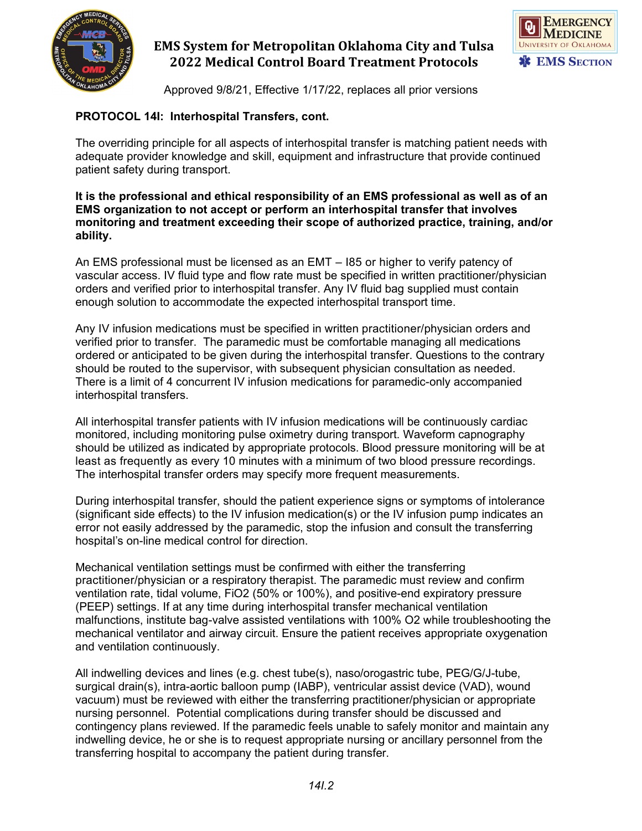



Approved 9/8/21, Effective 1/17/22, replaces all prior versions

## **PROTOCOL 14I: Interhospital Transfers, cont.**

The overriding principle for all aspects of interhospital transfer is matching patient needs with adequate provider knowledge and skill, equipment and infrastructure that provide continued patient safety during transport.

#### **It is the professional and ethical responsibility of an EMS professional as well as of an EMS organization to not accept or perform an interhospital transfer that involves monitoring and treatment exceeding their scope of authorized practice, training, and/or ability.**

An EMS professional must be licensed as an EMT – I85 or higher to verify patency of vascular access. IV fluid type and flow rate must be specified in written practitioner/physician orders and verified prior to interhospital transfer. Any IV fluid bag supplied must contain enough solution to accommodate the expected interhospital transport time.

Any IV infusion medications must be specified in written practitioner/physician orders and verified prior to transfer. The paramedic must be comfortable managing all medications ordered or anticipated to be given during the interhospital transfer. Questions to the contrary should be routed to the supervisor, with subsequent physician consultation as needed. There is a limit of 4 concurrent IV infusion medications for paramedic-only accompanied interhospital transfers.

All interhospital transfer patients with IV infusion medications will be continuously cardiac monitored, including monitoring pulse oximetry during transport. Waveform capnography should be utilized as indicated by appropriate protocols. Blood pressure monitoring will be at least as frequently as every 10 minutes with a minimum of two blood pressure recordings. The interhospital transfer orders may specify more frequent measurements.

During interhospital transfer, should the patient experience signs or symptoms of intolerance (significant side effects) to the IV infusion medication(s) or the IV infusion pump indicates an error not easily addressed by the paramedic, stop the infusion and consult the transferring hospital's on-line medical control for direction.

Mechanical ventilation settings must be confirmed with either the transferring practitioner/physician or a respiratory therapist. The paramedic must review and confirm ventilation rate, tidal volume, FiO2 (50% or 100%), and positive-end expiratory pressure (PEEP) settings. If at any time during interhospital transfer mechanical ventilation malfunctions, institute bag-valve assisted ventilations with 100% O2 while troubleshooting the mechanical ventilator and airway circuit. Ensure the patient receives appropriate oxygenation and ventilation continuously.

All indwelling devices and lines (e.g. chest tube(s), naso/orogastric tube, PEG/G/J-tube, surgical drain(s), intra-aortic balloon pump (IABP), ventricular assist device (VAD), wound vacuum) must be reviewed with either the transferring practitioner/physician or appropriate nursing personnel. Potential complications during transfer should be discussed and contingency plans reviewed. If the paramedic feels unable to safely monitor and maintain any indwelling device, he or she is to request appropriate nursing or ancillary personnel from the transferring hospital to accompany the patient during transfer.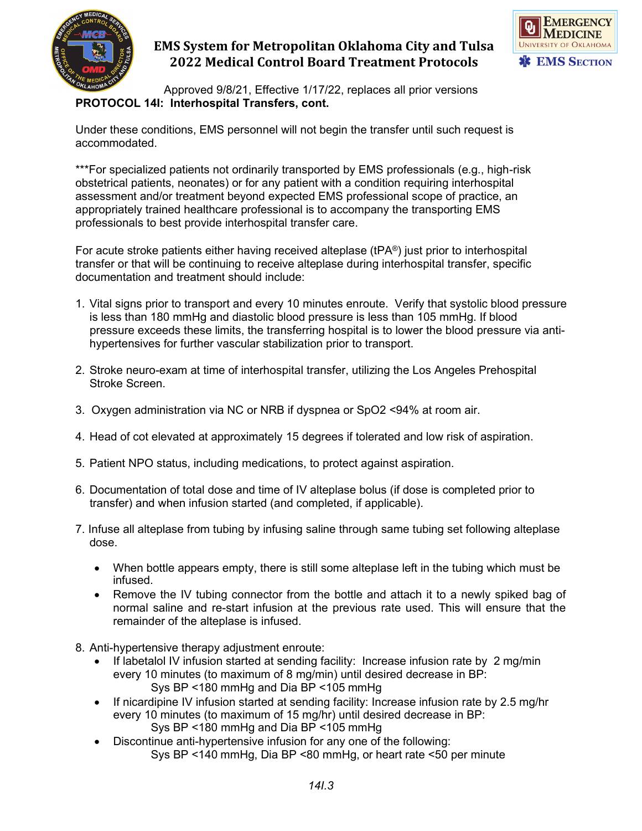



Approved 9/8/21, Effective 1/17/22, replaces all prior versions **PROTOCOL 14I: Interhospital Transfers, cont.**

Under these conditions, EMS personnel will not begin the transfer until such request is accommodated.

\*\*\*For specialized patients not ordinarily transported by EMS professionals (e.g., high-risk obstetrical patients, neonates) or for any patient with a condition requiring interhospital assessment and/or treatment beyond expected EMS professional scope of practice, an appropriately trained healthcare professional is to accompany the transporting EMS professionals to best provide interhospital transfer care.

For acute stroke patients either having received alteplase (tPA®) just prior to interhospital transfer or that will be continuing to receive alteplase during interhospital transfer, specific documentation and treatment should include:

- 1. Vital signs prior to transport and every 10 minutes enroute. Verify that systolic blood pressure is less than 180 mmHg and diastolic blood pressure is less than 105 mmHg. If blood pressure exceeds these limits, the transferring hospital is to lower the blood pressure via antihypertensives for further vascular stabilization prior to transport.
- 2. Stroke neuro-exam at time of interhospital transfer, utilizing the Los Angeles Prehospital Stroke Screen.
- 3. Oxygen administration via NC or NRB if dyspnea or SpO2 <94% at room air.
- 4. Head of cot elevated at approximately 15 degrees if tolerated and low risk of aspiration.
- 5. Patient NPO status, including medications, to protect against aspiration.
- 6. Documentation of total dose and time of IV alteplase bolus (if dose is completed prior to transfer) and when infusion started (and completed, if applicable).
- 7. Infuse all alteplase from tubing by infusing saline through same tubing set following alteplase dose.
	- When bottle appears empty, there is still some alteplase left in the tubing which must be infused.
	- Remove the IV tubing connector from the bottle and attach it to a newly spiked bag of normal saline and re-start infusion at the previous rate used. This will ensure that the remainder of the alteplase is infused.
- 8. Anti-hypertensive therapy adjustment enroute:
	- If labetalol IV infusion started at sending facility: Increase infusion rate by 2 mg/min every 10 minutes (to maximum of 8 mg/min) until desired decrease in BP: Sys BP <180 mmHg and Dia BP <105 mmHg
	- If nicardipine IV infusion started at sending facility: Increase infusion rate by 2.5 mg/hr every 10 minutes (to maximum of 15 mg/hr) until desired decrease in BP: Sys BP <180 mmHg and Dia BP <105 mmHg
	- Discontinue anti-hypertensive infusion for any one of the following: Sys BP <140 mmHg, Dia BP <80 mmHg, or heart rate <50 per minute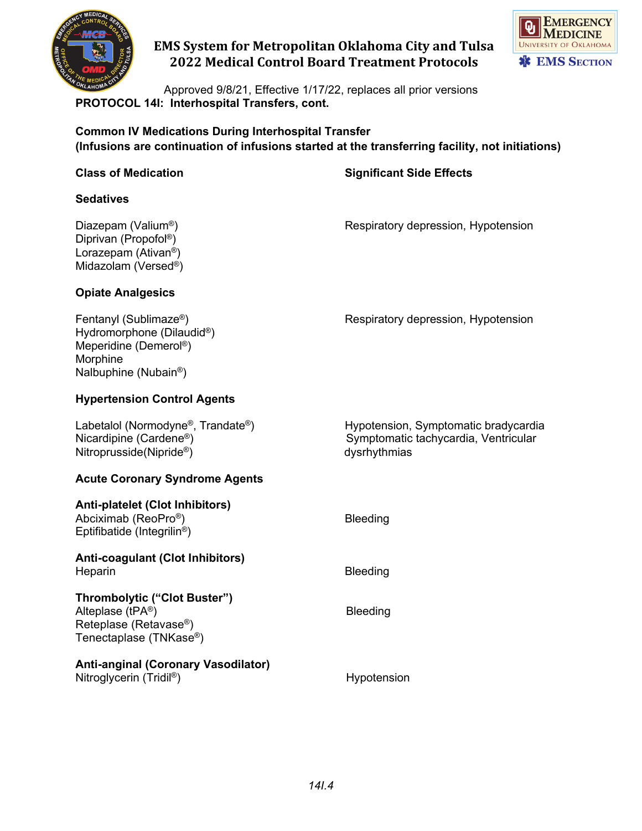



Approved 9/8/21, Effective 1/17/22, replaces all prior versions **PROTOCOL 14I: Interhospital Transfers, cont.**

**Common IV Medications During Interhospital Transfer (Infusions are continuation of infusions started at the transferring facility, not initiations)**

### **Class of Medication Significant Side Effects**

**Sedatives**

Diprivan (Propofol®) Lorazepam (Ativan®) Midazolam (Versed®)

Diazepam (Valium<sup>®</sup>) and the second of Respiratory depression, Hypotension

#### **Opiate Analgesics**

Fentanyl (Sublimaze®) Respiratory depression, Hypotension Hydromorphone (Dilaudid®) Meperidine (Demerol®) Morphine Nalbuphine (Nubain®)

#### **Hypertension Control Agents**

Labetalol (Normodyne®, Trandate®) Hypotension, Symptomatic bradycardia<br>Nicardipine (Cardene®) Symptomatic tachycardia, Ventricular Symptomatic tachycardia, Ventricular Nitroprusside(Nipride®) dysrhythmias

#### **Acute Coronary Syndrome Agents**

| <b>Anti-platelet (Clot Inhibitors)</b><br>Abciximab (ReoPro <sup>®</sup> )<br>Eptifibatide (Integrilin <sup>®</sup> )         | <b>Bleeding</b> |
|-------------------------------------------------------------------------------------------------------------------------------|-----------------|
| Anti-coagulant (Clot Inhibitors)<br>Heparin                                                                                   | Bleeding        |
| Thrombolytic ("Clot Buster")<br>Alteplase (tPA®)<br>Reteplase (Retavase <sup>®</sup> )<br>Tenectaplase (TNKase <sup>®</sup> ) | <b>Bleeding</b> |
| Anti-anginal (Coronary Vasodilator)<br>Nitroglycerin (Tridil®)                                                                | Hypotension     |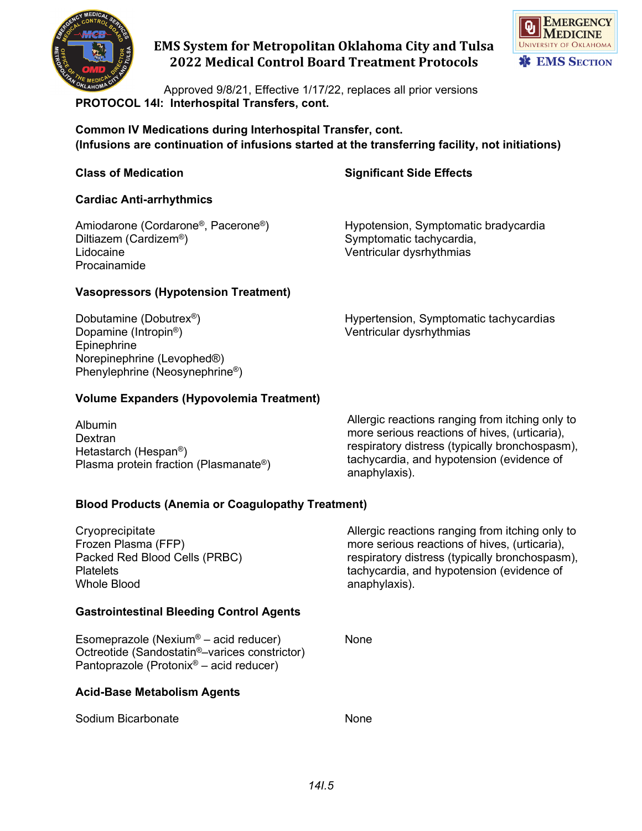



Approved 9/8/21, Effective 1/17/22, replaces all prior versions **PROTOCOL 14I: Interhospital Transfers, cont.**

**Common IV Medications during Interhospital Transfer, cont. (Infusions are continuation of infusions started at the transferring facility, not initiations)**

## **Class of Medication Significant Side Effects**

Symptomatic tachycardia,

#### **Cardiac Anti-arrhythmics**

Amiodarone (Cordarone®, Pacerone®) Hypotension, Symptomatic bradycardia<br>Diltiazem (Cardizem®) Symptomatic tachycardia, Lidocaine **Ventricular dysrhythmias** Procainamide

#### **Vasopressors (Hypotension Treatment)**

Epinephrine Norepinephrine (Levophed®) Phenylephrine (Neosynephrine®)

Dobutamine (Dobutrex<sup>®</sup>) Hypertension, Symptomatic tachycardias<br>Dopamine (Intropin<sup>®</sup>) Ventricular dysrhythmias Ventricular dysrhythmias

## **Volume Expanders (Hypovolemia Treatment)**

Albumin **Dextran** Hetastarch (Hespan®) Plasma protein fraction (Plasmanate®) Allergic reactions ranging from itching only to more serious reactions of hives, (urticaria), respiratory distress (typically bronchospasm), tachycardia, and hypotension (evidence of anaphylaxis).

## **Blood Products (Anemia or Coagulopathy Treatment)**

| Cryoprecipitate<br>Frozen Plasma (FFP)<br>Packed Red Blood Cells (PRBC)<br><b>Platelets</b><br><b>Whole Blood</b>                                                      | Allergic reactions ranging from itching only to<br>more serious reactions of hives, (urticaria),<br>respiratory distress (typically bronchospasm),<br>tachycardia, and hypotension (evidence of<br>anaphylaxis). |
|------------------------------------------------------------------------------------------------------------------------------------------------------------------------|------------------------------------------------------------------------------------------------------------------------------------------------------------------------------------------------------------------|
| <b>Gastrointestinal Bleeding Control Agents</b>                                                                                                                        |                                                                                                                                                                                                                  |
| Esomeprazole (Nexium <sup>®</sup> – acid reducer)<br>Octreotide (Sandostatin <sup>®</sup> -varices constrictor)<br>Pantoprazole (Protonix <sup>®</sup> – acid reducer) | None                                                                                                                                                                                                             |
| <b>Acid-Base Metabolism Agents</b>                                                                                                                                     |                                                                                                                                                                                                                  |
| Sodium Bicarbonate                                                                                                                                                     | None                                                                                                                                                                                                             |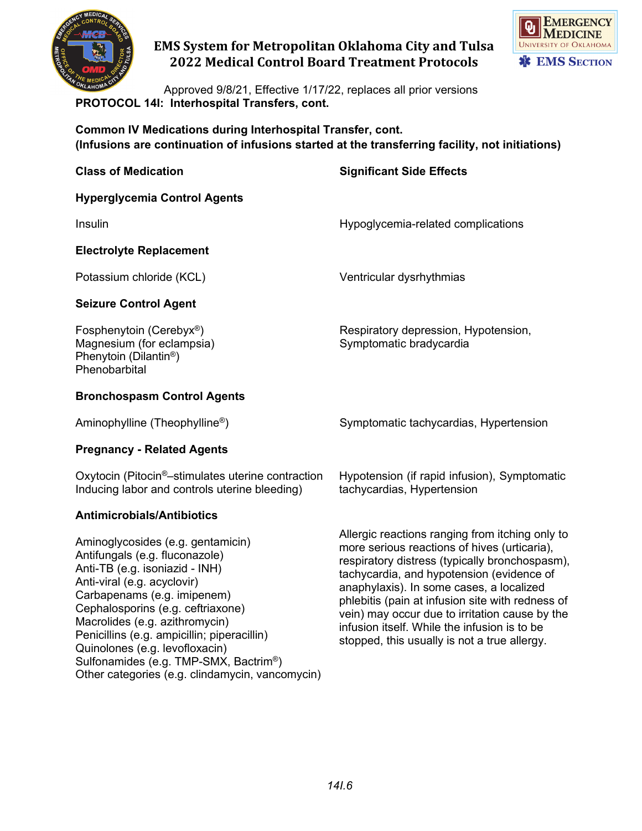



Approved 9/8/21, Effective 1/17/22, replaces all prior versions **PROTOCOL 14I: Interhospital Transfers, cont.**

**Common IV Medications during Interhospital Transfer, cont. (Infusions are continuation of infusions started at the transferring facility, not initiations)**

| <b>Class of Medication</b>                                                                                               | <b>Significant Side Effects</b>                                            |
|--------------------------------------------------------------------------------------------------------------------------|----------------------------------------------------------------------------|
| <b>Hyperglycemia Control Agents</b>                                                                                      |                                                                            |
| Insulin                                                                                                                  | Hypoglycemia-related complications                                         |
| <b>Electrolyte Replacement</b>                                                                                           |                                                                            |
| Potassium chloride (KCL)                                                                                                 | Ventricular dysrhythmias                                                   |
| <b>Seizure Control Agent</b>                                                                                             |                                                                            |
| Fosphenytoin (Cerebyx <sup>®</sup> )<br>Magnesium (for eclampsia)<br>Phenytoin (Dilantin <sup>®</sup> )<br>Phenobarbital | Respiratory depression, Hypotension,<br>Symptomatic bradycardia            |
| <b>Bronchospasm Control Agents</b>                                                                                       |                                                                            |
| Aminophylline (Theophylline <sup>®</sup> )                                                                               | Symptomatic tachycardias, Hypertension                                     |
| <b>Pregnancy - Related Agents</b>                                                                                        |                                                                            |
| Oxytocin (Pitocin <sup>®</sup> –stimulates uterine contraction<br>Inducing labor and controls uterine bleeding)          | Hypotension (if rapid infusion), Symptomatic<br>tachycardias, Hypertension |
| Antimicrobials/Antibiotics                                                                                               |                                                                            |

Aminoglycosides (e.g. gentamicin) Antifungals (e.g. fluconazole) Anti-TB (e.g. isoniazid - INH) Anti-viral (e.g. acyclovir) Carbapenams (e.g. imipenem) Cephalosporins (e.g. ceftriaxone) Macrolides (e.g. azithromycin) Penicillins (e.g. ampicillin; piperacillin) Quinolones (e.g. levofloxacin) Sulfonamides (e.g. TMP-SMX, Bactrim®) Other categories (e.g. clindamycin, vancomycin) Allergic reactions ranging from itching only to more serious reactions of hives (urticaria), respiratory distress (typically bronchospasm), tachycardia, and hypotension (evidence of anaphylaxis). In some cases, a localized phlebitis (pain at infusion site with redness of vein) may occur due to irritation cause by the infusion itself. While the infusion is to be stopped, this usually is not a true allergy.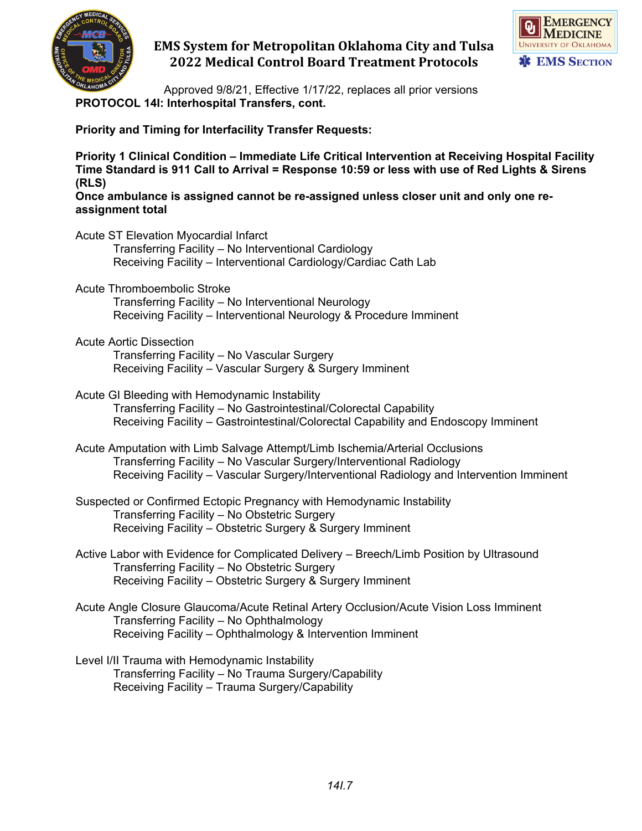



Approved 9/8/21, Effective 1/17/22, replaces all prior versions **PROTOCOL 14I: Interhospital Transfers, cont.**

**Priority and Timing for Interfacility Transfer Requests:**

**Priority 1 Clinical Condition – Immediate Life Critical Intervention at Receiving Hospital Facility Time Standard is 911 Call to Arrival = Response 10:59 or less with use of Red Lights & Sirens (RLS)**

**Once ambulance is assigned cannot be re-assigned unless closer unit and only one reassignment total**

Acute ST Elevation Myocardial Infarct Transferring Facility – No Interventional Cardiology Receiving Facility – Interventional Cardiology/Cardiac Cath Lab Acute Thromboembolic Stroke Transferring Facility – No Interventional Neurology Receiving Facility – Interventional Neurology & Procedure Imminent Acute Aortic Dissection Transferring Facility – No Vascular Surgery Receiving Facility – Vascular Surgery & Surgery Imminent Acute GI Bleeding with Hemodynamic Instability Transferring Facility – No Gastrointestinal/Colorectal Capability Receiving Facility – Gastrointestinal/Colorectal Capability and Endoscopy Imminent Acute Amputation with Limb Salvage Attempt/Limb Ischemia/Arterial Occlusions Transferring Facility – No Vascular Surgery/Interventional Radiology Receiving Facility – Vascular Surgery/Interventional Radiology and Intervention Imminent Suspected or Confirmed Ectopic Pregnancy with Hemodynamic Instability Transferring Facility – No Obstetric Surgery Receiving Facility – Obstetric Surgery & Surgery Imminent Active Labor with Evidence for Complicated Delivery – Breech/Limb Position by Ultrasound Transferring Facility – No Obstetric Surgery Receiving Facility – Obstetric Surgery & Surgery Imminent Acute Angle Closure Glaucoma/Acute Retinal Artery Occlusion/Acute Vision Loss Imminent Transferring Facility – No Ophthalmology Receiving Facility – Ophthalmology & Intervention Imminent Level I/II Trauma with Hemodynamic Instability Transferring Facility – No Trauma Surgery/Capability Receiving Facility – Trauma Surgery/Capability